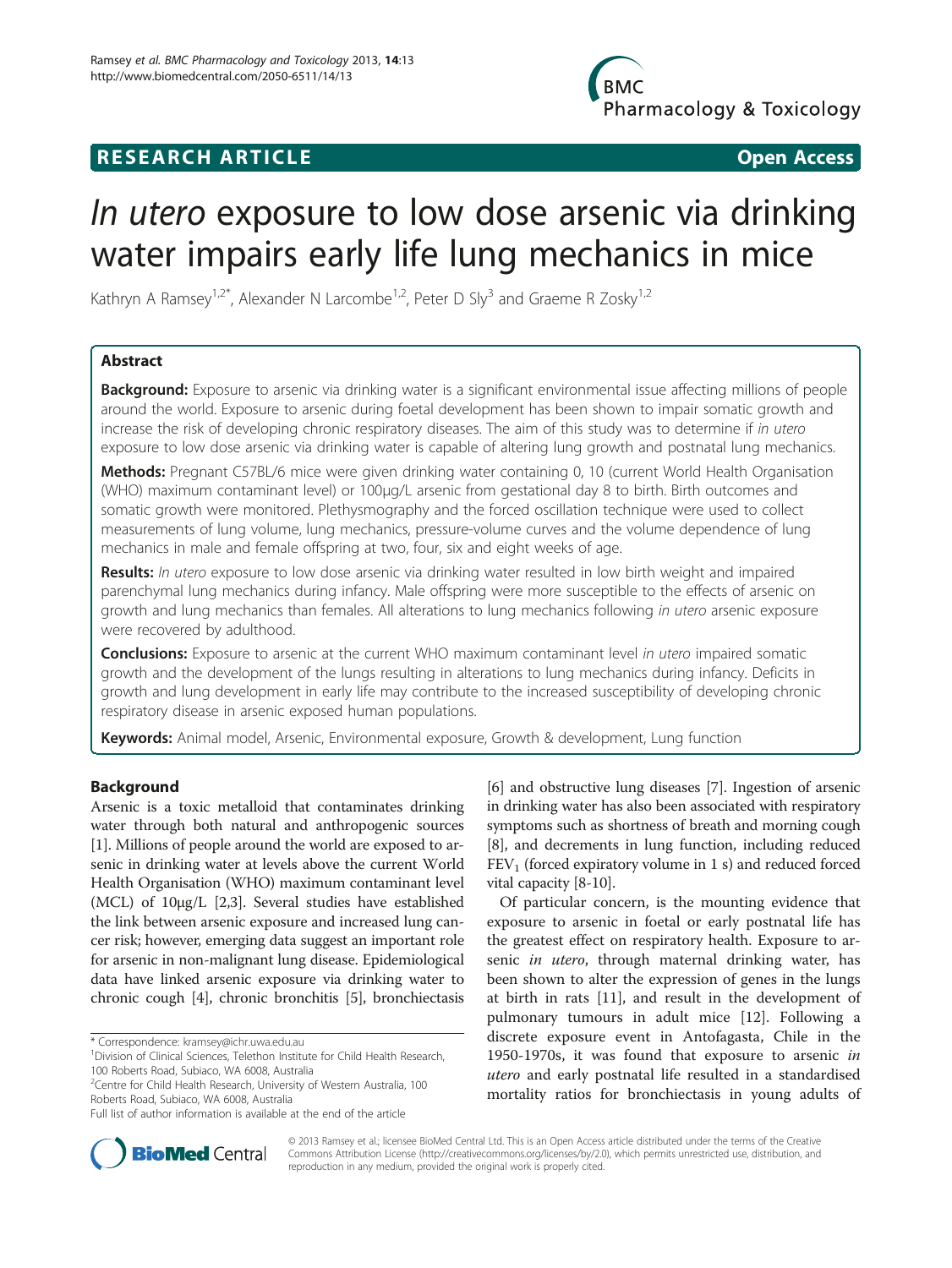## **RESEARCH ARTICLE Example 2018 12:00 Open Access**

# In utero exposure to low dose arsenic via drinking water impairs early life lung mechanics in mice

Kathryn A Ramsey<sup>1,2\*</sup>, Alexander N Larcombe<sup>1,2</sup>, Peter D Sly<sup>3</sup> and Graeme R Zosky<sup>1,2</sup>

## Abstract

Background: Exposure to arsenic via drinking water is a significant environmental issue affecting millions of people around the world. Exposure to arsenic during foetal development has been shown to impair somatic growth and increase the risk of developing chronic respiratory diseases. The aim of this study was to determine if in utero exposure to low dose arsenic via drinking water is capable of altering lung growth and postnatal lung mechanics.

Methods: Pregnant C57BL/6 mice were given drinking water containing 0, 10 (current World Health Organisation (WHO) maximum contaminant level) or 100μg/L arsenic from gestational day 8 to birth. Birth outcomes and somatic growth were monitored. Plethysmography and the forced oscillation technique were used to collect measurements of lung volume, lung mechanics, pressure-volume curves and the volume dependence of lung mechanics in male and female offspring at two, four, six and eight weeks of age.

Results: In utero exposure to low dose arsenic via drinking water resulted in low birth weight and impaired parenchymal lung mechanics during infancy. Male offspring were more susceptible to the effects of arsenic on growth and lung mechanics than females. All alterations to lung mechanics following in utero arsenic exposure were recovered by adulthood.

**Conclusions:** Exposure to arsenic at the current WHO maximum contaminant level in utero impaired somatic growth and the development of the lungs resulting in alterations to lung mechanics during infancy. Deficits in growth and lung development in early life may contribute to the increased susceptibility of developing chronic respiratory disease in arsenic exposed human populations.

Keywords: Animal model, Arsenic, Environmental exposure, Growth & development, Lung function

## Background

Arsenic is a toxic metalloid that contaminates drinking water through both natural and anthropogenic sources [[1\]](#page-7-0). Millions of people around the world are exposed to arsenic in drinking water at levels above the current World Health Organisation (WHO) maximum contaminant level (MCL) of 10μg/L [\[2,3\]](#page-7-0). Several studies have established the link between arsenic exposure and increased lung cancer risk; however, emerging data suggest an important role for arsenic in non-malignant lung disease. Epidemiological data have linked arsenic exposure via drinking water to chronic cough [[4\]](#page-7-0), chronic bronchitis [\[5](#page-7-0)], bronchiectasis

<sup>2</sup> Centre for Child Health Research, University of Western Australia, 100 Roberts Road, Subiaco, WA 6008, Australia

[[6\]](#page-7-0) and obstructive lung diseases [\[7\]](#page-7-0). Ingestion of arsenic in drinking water has also been associated with respiratory symptoms such as shortness of breath and morning cough [[8\]](#page-7-0), and decrements in lung function, including reduced  $FEV<sub>1</sub>$  (forced expiratory volume in 1 s) and reduced forced vital capacity [\[8-10\]](#page-7-0).

Of particular concern, is the mounting evidence that exposure to arsenic in foetal or early postnatal life has the greatest effect on respiratory health. Exposure to arsenic in utero, through maternal drinking water, has been shown to alter the expression of genes in the lungs at birth in rats [[11](#page-7-0)], and result in the development of pulmonary tumours in adult mice [\[12](#page-7-0)]. Following a discrete exposure event in Antofagasta, Chile in the 1950-1970s, it was found that exposure to arsenic in utero and early postnatal life resulted in a standardised mortality ratios for bronchiectasis in young adults of



© 2013 Ramsey et al.; licensee BioMed Central Ltd. This is an Open Access article distributed under the terms of the Creative Commons Attribution License [\(http://creativecommons.org/licenses/by/2.0\)](http://creativecommons.org/licenses/by/2.0), which permits unrestricted use, distribution, and reproduction in any medium, provided the original work is properly cited.

<sup>\*</sup> Correspondence: [kramsey@ichr.uwa.edu.au](mailto:kramsey@ichr.uwa.edu.au) <sup>1</sup>

<sup>&</sup>lt;sup>1</sup> Division of Clinical Sciences, Telethon Institute for Child Health Research, 100 Roberts Road, Subiaco, WA 6008, Australia

Full list of author information is available at the end of the article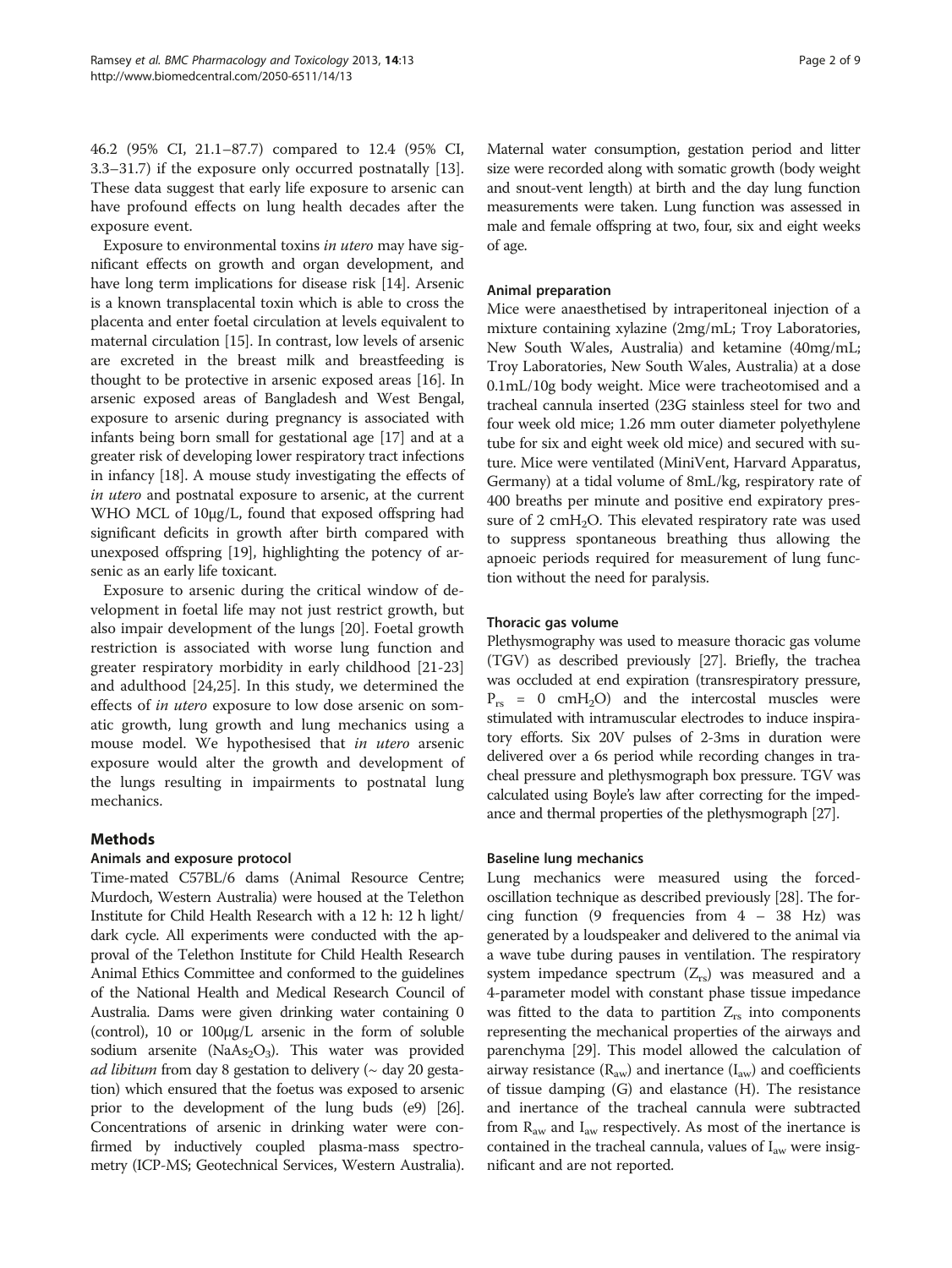46.2 (95% CI, 21.1–87.7) compared to 12.4 (95% CI, 3.3–31.7) if the exposure only occurred postnatally [\[13](#page-7-0)]. These data suggest that early life exposure to arsenic can have profound effects on lung health decades after the exposure event.

Exposure to environmental toxins in utero may have significant effects on growth and organ development, and have long term implications for disease risk [[14](#page-7-0)]. Arsenic is a known transplacental toxin which is able to cross the placenta and enter foetal circulation at levels equivalent to maternal circulation [[15](#page-7-0)]. In contrast, low levels of arsenic are excreted in the breast milk and breastfeeding is thought to be protective in arsenic exposed areas [[16](#page-7-0)]. In arsenic exposed areas of Bangladesh and West Bengal, exposure to arsenic during pregnancy is associated with infants being born small for gestational age [[17](#page-7-0)] and at a greater risk of developing lower respiratory tract infections in infancy [[18](#page-7-0)]. A mouse study investigating the effects of in utero and postnatal exposure to arsenic, at the current WHO MCL of 10μg/L, found that exposed offspring had significant deficits in growth after birth compared with unexposed offspring [[19](#page-7-0)], highlighting the potency of arsenic as an early life toxicant.

Exposure to arsenic during the critical window of development in foetal life may not just restrict growth, but also impair development of the lungs [[20\]](#page-7-0). Foetal growth restriction is associated with worse lung function and greater respiratory morbidity in early childhood [\[21](#page-7-0)-[23](#page-7-0)] and adulthood [[24,25](#page-7-0)]. In this study, we determined the effects of in utero exposure to low dose arsenic on somatic growth, lung growth and lung mechanics using a mouse model. We hypothesised that in utero arsenic exposure would alter the growth and development of the lungs resulting in impairments to postnatal lung mechanics.

## Methods

## Animals and exposure protocol

Time-mated C57BL/6 dams (Animal Resource Centre; Murdoch, Western Australia) were housed at the Telethon Institute for Child Health Research with a 12 h: 12 h light/ dark cycle. All experiments were conducted with the approval of the Telethon Institute for Child Health Research Animal Ethics Committee and conformed to the guidelines of the National Health and Medical Research Council of Australia. Dams were given drinking water containing 0 (control), 10 or 100μg/L arsenic in the form of soluble sodium arsenite ( $NaAs<sub>2</sub>O<sub>3</sub>$ ). This water was provided *ad libitum* from day 8 gestation to delivery ( $\sim$  day 20 gestation) which ensured that the foetus was exposed to arsenic prior to the development of the lung buds (e9) [\[26](#page-7-0)]. Concentrations of arsenic in drinking water were confirmed by inductively coupled plasma-mass spectrometry (ICP-MS; Geotechnical Services, Western Australia).

Maternal water consumption, gestation period and litter size were recorded along with somatic growth (body weight and snout-vent length) at birth and the day lung function measurements were taken. Lung function was assessed in male and female offspring at two, four, six and eight weeks of age.

#### Animal preparation

Mice were anaesthetised by intraperitoneal injection of a mixture containing xylazine (2mg/mL; Troy Laboratories, New South Wales, Australia) and ketamine (40mg/mL; Troy Laboratories, New South Wales, Australia) at a dose 0.1mL/10g body weight. Mice were tracheotomised and a tracheal cannula inserted (23G stainless steel for two and four week old mice; 1.26 mm outer diameter polyethylene tube for six and eight week old mice) and secured with suture. Mice were ventilated (MiniVent, Harvard Apparatus, Germany) at a tidal volume of 8mL/kg, respiratory rate of 400 breaths per minute and positive end expiratory pressure of 2 cmH<sub>2</sub>O. This elevated respiratory rate was used to suppress spontaneous breathing thus allowing the apnoeic periods required for measurement of lung function without the need for paralysis.

#### Thoracic gas volume

Plethysmography was used to measure thoracic gas volume (TGV) as described previously [\[27\]](#page-7-0). Briefly, the trachea was occluded at end expiration (transrespiratory pressure,  $P_{rs}$  = 0 cmH<sub>2</sub>O) and the intercostal muscles were stimulated with intramuscular electrodes to induce inspiratory efforts. Six 20V pulses of 2-3ms in duration were delivered over a 6s period while recording changes in tracheal pressure and plethysmograph box pressure. TGV was calculated using Boyle's law after correcting for the impedance and thermal properties of the plethysmograph [\[27](#page-7-0)].

#### Baseline lung mechanics

Lung mechanics were measured using the forcedoscillation technique as described previously [[28](#page-7-0)]. The forcing function (9 frequencies from  $4 - 38$  Hz) was generated by a loudspeaker and delivered to the animal via a wave tube during pauses in ventilation. The respiratory system impedance spectrum  $(Z_{rs})$  was measured and a 4-parameter model with constant phase tissue impedance was fitted to the data to partition  $Z_{rs}$  into components representing the mechanical properties of the airways and parenchyma [\[29\]](#page-7-0). This model allowed the calculation of airway resistance  $(R_{aw})$  and inertance  $(I_{aw})$  and coefficients of tissue damping (G) and elastance (H). The resistance and inertance of the tracheal cannula were subtracted from  $R_{aw}$  and  $I_{aw}$  respectively. As most of the inertance is contained in the tracheal cannula, values of  $I_{aw}$  were insignificant and are not reported.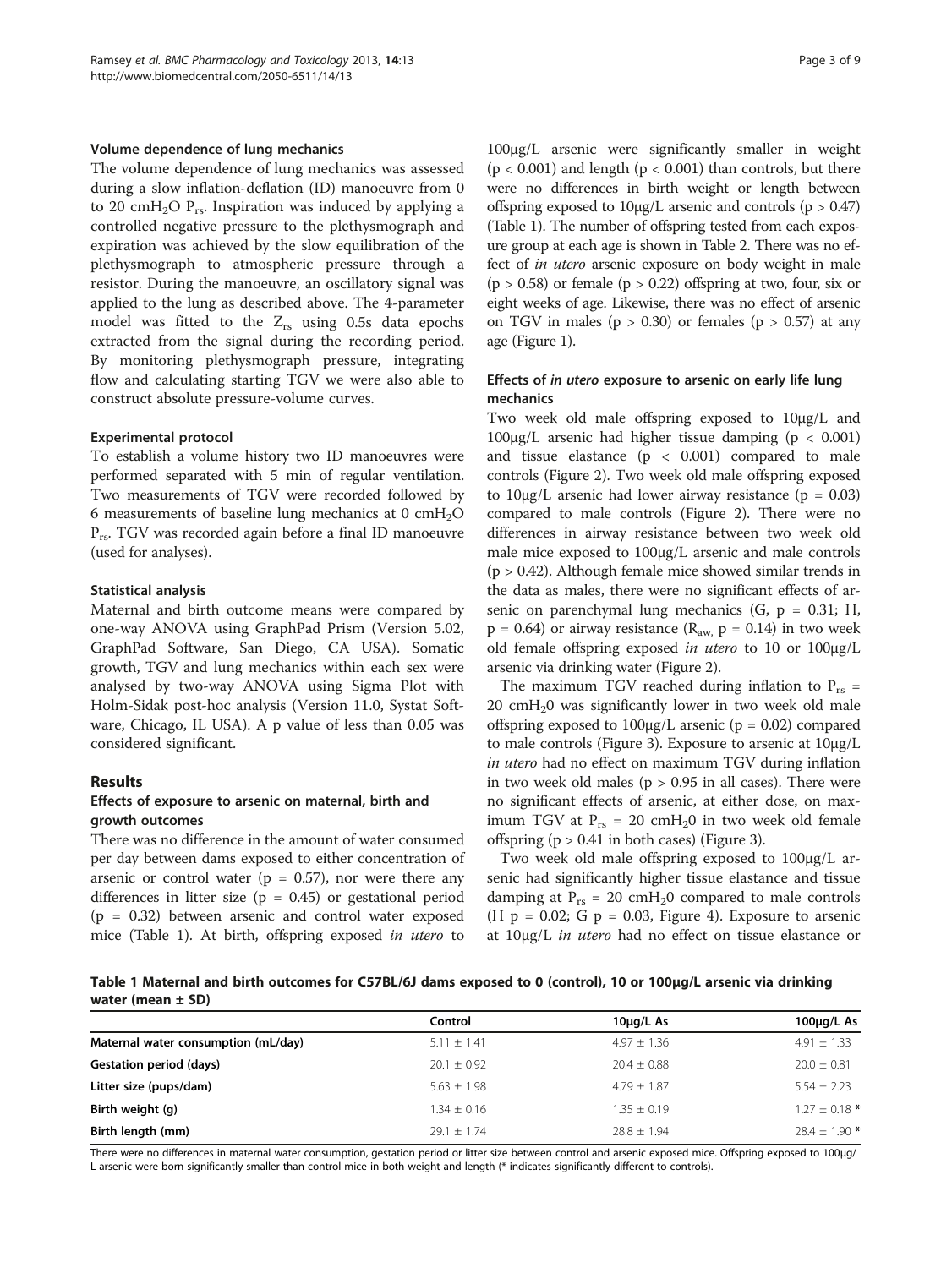#### Volume dependence of lung mechanics

The volume dependence of lung mechanics was assessed during a slow inflation-deflation (ID) manoeuvre from 0 to 20 cmH<sub>2</sub>O  $P_{rs}$ . Inspiration was induced by applying a controlled negative pressure to the plethysmograph and expiration was achieved by the slow equilibration of the plethysmograph to atmospheric pressure through a resistor. During the manoeuvre, an oscillatory signal was applied to the lung as described above. The 4-parameter model was fitted to the  $Z_{rs}$  using 0.5s data epochs extracted from the signal during the recording period. By monitoring plethysmograph pressure, integrating flow and calculating starting TGV we were also able to construct absolute pressure-volume curves.

## Experimental protocol

To establish a volume history two ID manoeuvres were performed separated with 5 min of regular ventilation. Two measurements of TGV were recorded followed by 6 measurements of baseline lung mechanics at 0 cmH<sub>2</sub>O Prs. TGV was recorded again before a final ID manoeuvre (used for analyses).

#### Statistical analysis

Maternal and birth outcome means were compared by one-way ANOVA using GraphPad Prism (Version 5.02, GraphPad Software, San Diego, CA USA). Somatic growth, TGV and lung mechanics within each sex were analysed by two-way ANOVA using Sigma Plot with Holm-Sidak post-hoc analysis (Version 11.0, Systat Software, Chicago, IL USA). A p value of less than 0.05 was considered significant.

## Results

## Effects of exposure to arsenic on maternal, birth and growth outcomes

There was no difference in the amount of water consumed per day between dams exposed to either concentration of arsenic or control water ( $p = 0.57$ ), nor were there any differences in litter size ( $p = 0.45$ ) or gestational period (p = 0.32) between arsenic and control water exposed mice (Table 1). At birth, offspring exposed in utero to

100μg/L arsenic were significantly smaller in weight  $(p < 0.001)$  and length  $(p < 0.001)$  than controls, but there were no differences in birth weight or length between offspring exposed to  $10\mu g/L$  arsenic and controls ( $p > 0.47$ ) (Table 1). The number of offspring tested from each exposure group at each age is shown in Table [2](#page-3-0). There was no effect of in utero arsenic exposure on body weight in male  $(p > 0.58)$  or female  $(p > 0.22)$  offspring at two, four, six or eight weeks of age. Likewise, there was no effect of arsenic on TGV in males ( $p > 0.30$ ) or females ( $p > 0.57$ ) at any age (Figure [1](#page-3-0)).

## Effects of in utero exposure to arsenic on early life lung mechanics

Two week old male offspring exposed to 10μg/L and 100μg/L arsenic had higher tissue damping ( $p < 0.001$ ) and tissue elastance  $(p < 0.001)$  compared to male controls (Figure [2\)](#page-4-0). Two week old male offspring exposed to  $10\mu$ g/L arsenic had lower airway resistance (p = 0.03) compared to male controls (Figure [2](#page-4-0)). There were no differences in airway resistance between two week old male mice exposed to 100μg/L arsenic and male controls  $(p > 0.42)$ . Although female mice showed similar trends in the data as males, there were no significant effects of arsenic on parenchymal lung mechanics (G,  $p = 0.31$ ; H,  $p = 0.64$ ) or airway resistance ( $R_{aw}$ ,  $p = 0.14$ ) in two week old female offspring exposed in utero to 10 or 100μg/L arsenic via drinking water (Figure [2](#page-4-0)).

The maximum TGV reached during inflation to  $P_{rs}$  = 20 cmH20 was significantly lower in two week old male offspring exposed to  $100\mu g/L$  arsenic (p = 0.02) compared to male controls (Figure [3\)](#page-4-0). Exposure to arsenic at 10μg/L in utero had no effect on maximum TGV during inflation in two week old males ( $p > 0.95$  in all cases). There were no significant effects of arsenic, at either dose, on maximum TGV at  $P_{rs} = 20 \text{ cm}H_20$  in two week old female offspring ( $p > 0.41$  in both cases) (Figure [3](#page-4-0)).

Two week old male offspring exposed to 100μg/L arsenic had significantly higher tissue elastance and tissue damping at  $P_{rs} = 20 \text{ cm}H_20$  compared to male controls (H  $p = 0.02$ ; G  $p = 0.03$ , Figure [4](#page-5-0)). Exposure to arsenic at 10μg/L in utero had no effect on tissue elastance or

Table 1 Maternal and birth outcomes for C57BL/6J dams exposed to 0 (control), 10 or 100μg/L arsenic via drinking water (mean ± SD)

|                                     | Control         | 10µg/L As       | 100 $\mu$ g/L As  |
|-------------------------------------|-----------------|-----------------|-------------------|
| Maternal water consumption (mL/day) | $5.11 \pm 1.41$ | $4.97 \pm 1.36$ | $4.91 \pm 1.33$   |
| Gestation period (days)             | $20.1 + 0.92$   | $20.4 \pm 0.88$ | $20.0 + 0.81$     |
| Litter size (pups/dam)              | $5.63 + 1.98$   | $4.79 + 1.87$   | $5.54 \pm 2.23$   |
| Birth weight (g)                    | $1.34 + 0.16$   | $1.35 + 0.19$   | $1.27 \pm 0.18$ * |
| Birth length (mm)                   | $29.1 + 1.74$   | $78.8 + 1.94$   | $28.4 + 1.90*$    |

There were no differences in maternal water consumption, gestation period or litter size between control and arsenic exposed mice. Offspring exposed to 100µg/ L arsenic were born significantly smaller than control mice in both weight and length (\* indicates significantly different to controls).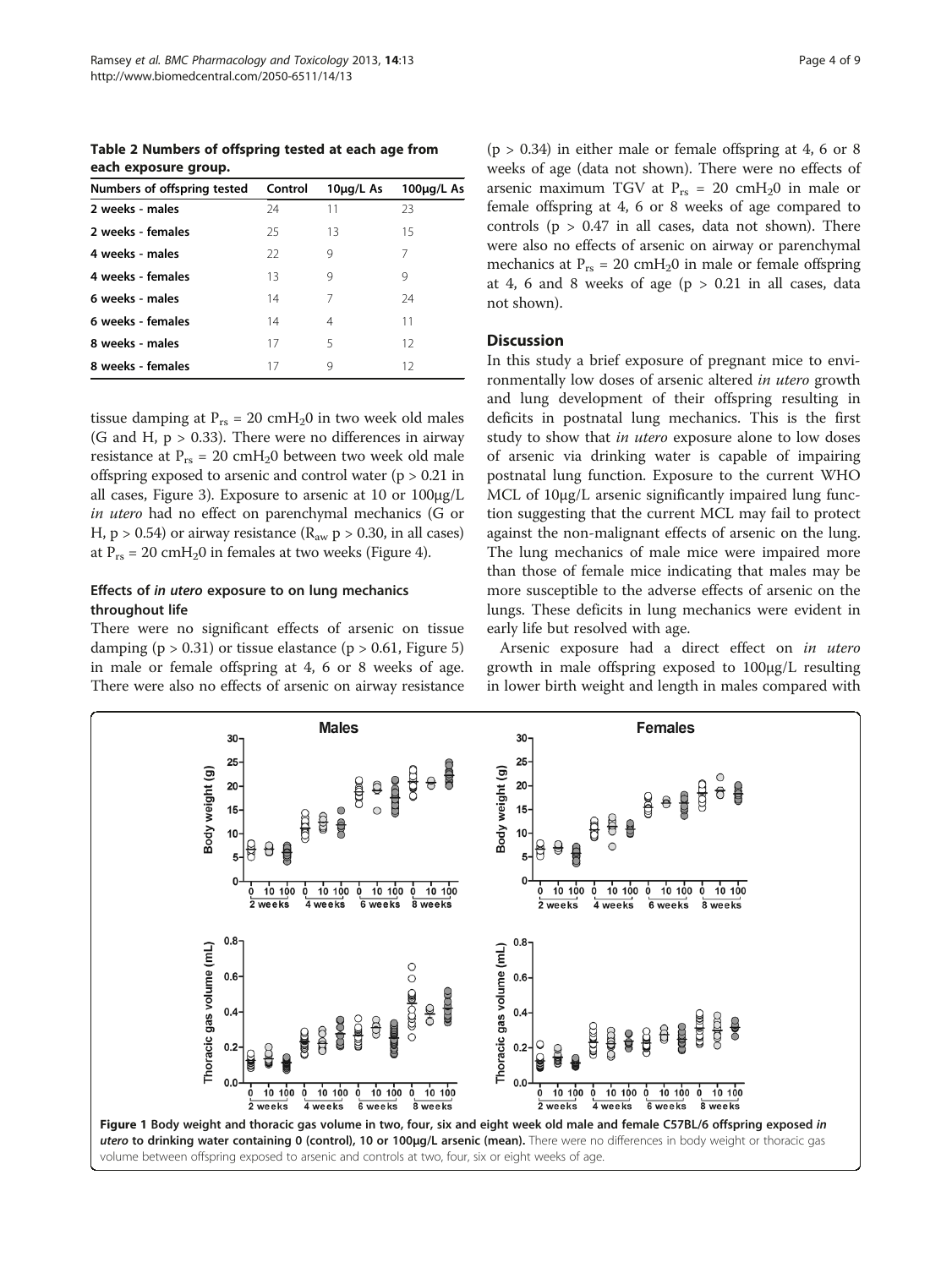<span id="page-3-0"></span>Table 2 Numbers of offspring tested at each age from each exposure group.

| Numbers of offspring tested Control |    | 10µg/L As | $100\mu$ g/L As |
|-------------------------------------|----|-----------|-----------------|
| 2 weeks - males                     | 24 | 11        | 23              |
| 2 weeks - females                   | 25 | 13        | 15              |
| 4 weeks - males                     | 22 | 9         | 7               |
| 4 weeks - females                   | 13 | 9         | 9               |
| 6 weeks - males                     | 14 | 7         | 24              |
| 6 weeks - females                   | 14 | 4         | 11              |
| 8 weeks - males                     | 17 | 5         | 12              |
| 8 weeks - females                   | 17 | 9         | 12              |

tissue damping at  $P_{rs} = 20 \text{ cm}H_20$  in two week old males (G and H,  $p > 0.33$ ). There were no differences in airway resistance at  $P_{rs} = 20 \text{ cm}H_20$  between two week old male offspring exposed to arsenic and control water ( $p > 0.21$  in all cases, Figure [3](#page-4-0)). Exposure to arsenic at 10 or 100μg/L in utero had no effect on parenchymal mechanics (G or H,  $p > 0.54$ ) or airway resistance ( $R_{aw}$   $p > 0.30$ , in all cases) at  $P_{rs} = 20 \text{ cm}H_20$  in females at two weeks (Figure [4\)](#page-5-0).

## Effects of in utero exposure to on lung mechanics throughout life

There were no significant effects of arsenic on tissue damping ( $p > 0.31$ ) or tissue elastance ( $p > 0.61$ , Figure [5](#page-5-0)) in male or female offspring at 4, 6 or 8 weeks of age. There were also no effects of arsenic on airway resistance

 $(p > 0.34)$  in either male or female offspring at 4, 6 or 8 weeks of age (data not shown). There were no effects of arsenic maximum TGV at  $P_{rs} = 20$  cmH<sub>2</sub>0 in male or female offspring at 4, 6 or 8 weeks of age compared to controls ( $p > 0.47$  in all cases, data not shown). There were also no effects of arsenic on airway or parenchymal mechanics at  $P_{rs} = 20 \text{ cm}H_20$  in male or female offspring at 4, 6 and 8 weeks of age  $(p > 0.21)$  in all cases, data not shown).

## **Discussion**

In this study a brief exposure of pregnant mice to environmentally low doses of arsenic altered in utero growth and lung development of their offspring resulting in deficits in postnatal lung mechanics. This is the first study to show that in utero exposure alone to low doses of arsenic via drinking water is capable of impairing postnatal lung function. Exposure to the current WHO MCL of 10μg/L arsenic significantly impaired lung function suggesting that the current MCL may fail to protect against the non-malignant effects of arsenic on the lung. The lung mechanics of male mice were impaired more than those of female mice indicating that males may be more susceptible to the adverse effects of arsenic on the lungs. These deficits in lung mechanics were evident in early life but resolved with age.

Arsenic exposure had a direct effect on in utero growth in male offspring exposed to 100μg/L resulting in lower birth weight and length in males compared with

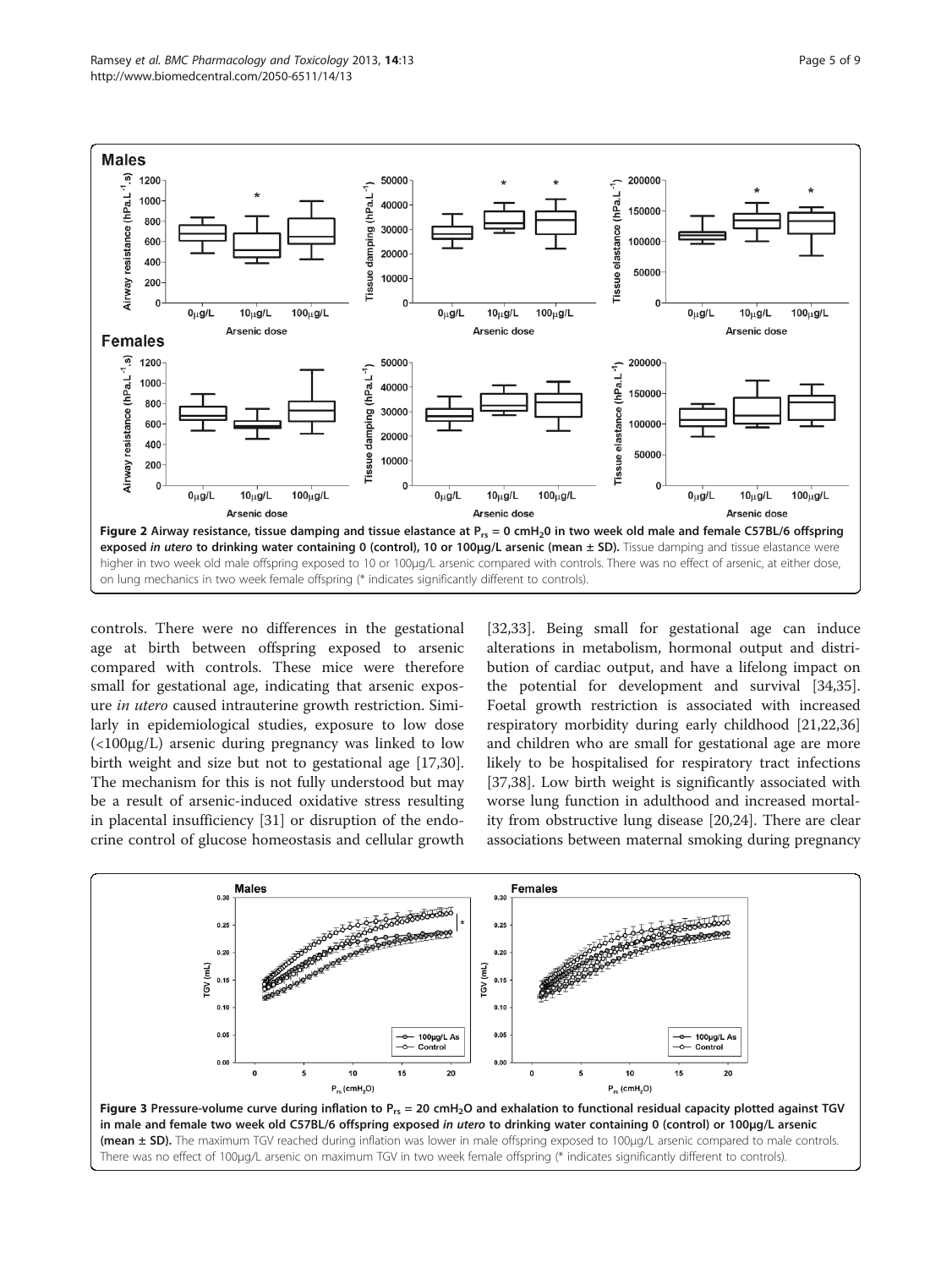<span id="page-4-0"></span>

controls. There were no differences in the gestational age at birth between offspring exposed to arsenic compared with controls. These mice were therefore small for gestational age, indicating that arsenic exposure in utero caused intrauterine growth restriction. Similarly in epidemiological studies, exposure to low dose (<100μg/L) arsenic during pregnancy was linked to low birth weight and size but not to gestational age [\[17,30](#page-7-0)]. The mechanism for this is not fully understood but may be a result of arsenic-induced oxidative stress resulting in placental insufficiency [\[31](#page-8-0)] or disruption of the endocrine control of glucose homeostasis and cellular growth

[[32,33\]](#page-8-0). Being small for gestational age can induce alterations in metabolism, hormonal output and distribution of cardiac output, and have a lifelong impact on the potential for development and survival [\[34,35](#page-8-0)]. Foetal growth restriction is associated with increased respiratory morbidity during early childhood [[21](#page-7-0),[22](#page-7-0),[36](#page-8-0)] and children who are small for gestational age are more likely to be hospitalised for respiratory tract infections [[37,38\]](#page-8-0). Low birth weight is significantly associated with worse lung function in adulthood and increased mortality from obstructive lung disease [[20](#page-7-0),[24](#page-7-0)]. There are clear associations between maternal smoking during pregnancy

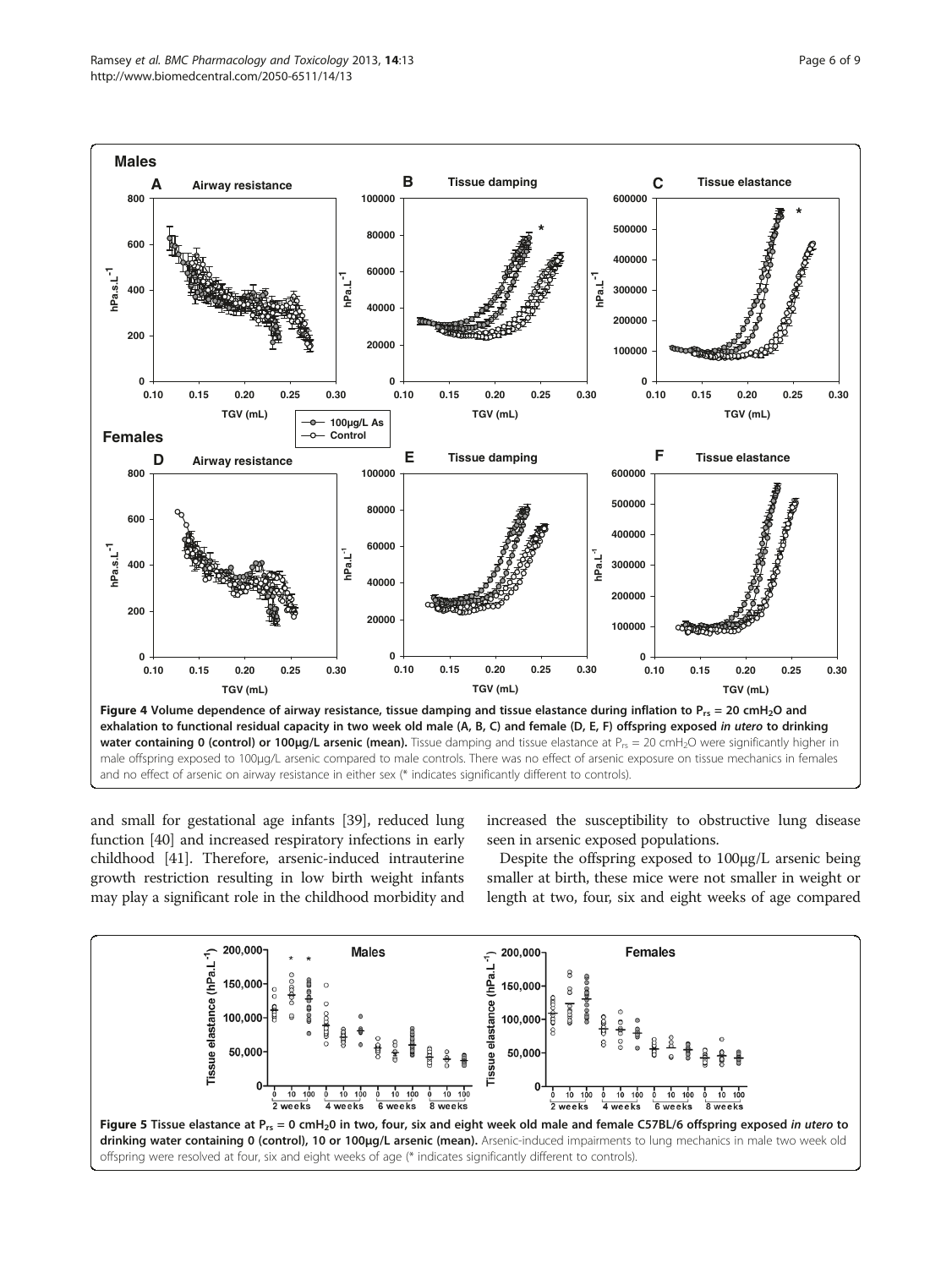<span id="page-5-0"></span>

and small for gestational age infants [\[39\]](#page-8-0), reduced lung function [[40](#page-8-0)] and increased respiratory infections in early childhood [[41](#page-8-0)]. Therefore, arsenic-induced intrauterine growth restriction resulting in low birth weight infants may play a significant role in the childhood morbidity and increased the susceptibility to obstructive lung disease seen in arsenic exposed populations.

Despite the offspring exposed to 100μg/L arsenic being smaller at birth, these mice were not smaller in weight or length at two, four, six and eight weeks of age compared

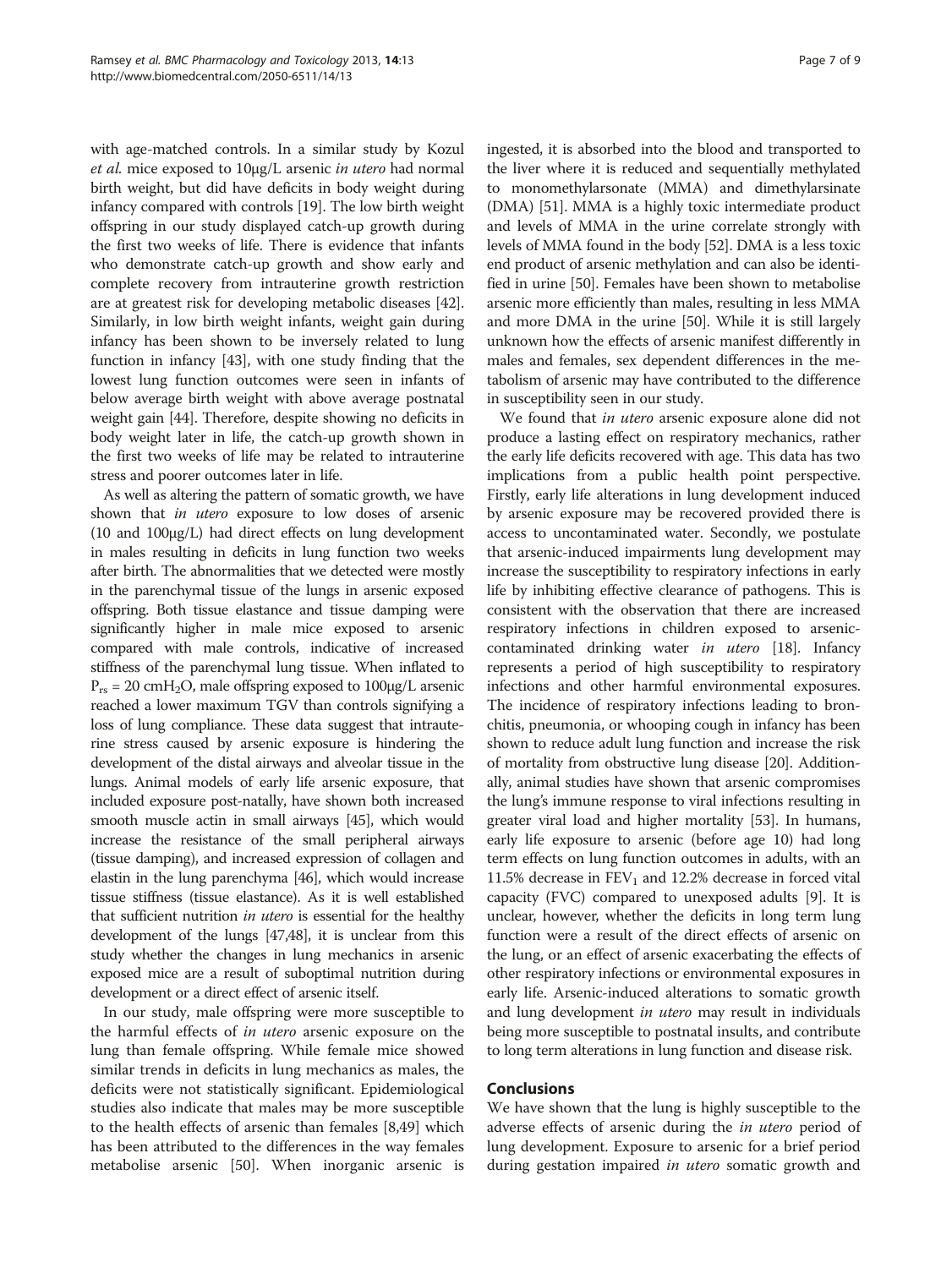with age-matched controls. In a similar study by Kozul et al. mice exposed to 10μg/L arsenic in utero had normal birth weight, but did have deficits in body weight during infancy compared with controls [\[19\]](#page-7-0). The low birth weight offspring in our study displayed catch-up growth during the first two weeks of life. There is evidence that infants who demonstrate catch-up growth and show early and complete recovery from intrauterine growth restriction are at greatest risk for developing metabolic diseases [[42](#page-8-0)]. Similarly, in low birth weight infants, weight gain during infancy has been shown to be inversely related to lung function in infancy [[43](#page-8-0)], with one study finding that the lowest lung function outcomes were seen in infants of below average birth weight with above average postnatal weight gain [[44](#page-8-0)]. Therefore, despite showing no deficits in body weight later in life, the catch-up growth shown in the first two weeks of life may be related to intrauterine stress and poorer outcomes later in life.

As well as altering the pattern of somatic growth, we have shown that *in utero* exposure to low doses of arsenic (10 and 100μg/L) had direct effects on lung development in males resulting in deficits in lung function two weeks after birth. The abnormalities that we detected were mostly in the parenchymal tissue of the lungs in arsenic exposed offspring. Both tissue elastance and tissue damping were significantly higher in male mice exposed to arsenic compared with male controls, indicative of increased stiffness of the parenchymal lung tissue. When inflated to  $P_{rs}$  = 20 cmH<sub>2</sub>O, male offspring exposed to 100µg/L arsenic reached a lower maximum TGV than controls signifying a loss of lung compliance. These data suggest that intrauterine stress caused by arsenic exposure is hindering the development of the distal airways and alveolar tissue in the lungs. Animal models of early life arsenic exposure, that included exposure post-natally, have shown both increased smooth muscle actin in small airways [\[45\]](#page-8-0), which would increase the resistance of the small peripheral airways (tissue damping), and increased expression of collagen and elastin in the lung parenchyma [[46](#page-8-0)], which would increase tissue stiffness (tissue elastance). As it is well established that sufficient nutrition *in utero* is essential for the healthy development of the lungs [\[47,48\]](#page-8-0), it is unclear from this study whether the changes in lung mechanics in arsenic exposed mice are a result of suboptimal nutrition during development or a direct effect of arsenic itself.

In our study, male offspring were more susceptible to the harmful effects of in utero arsenic exposure on the lung than female offspring. While female mice showed similar trends in deficits in lung mechanics as males, the deficits were not statistically significant. Epidemiological studies also indicate that males may be more susceptible to the health effects of arsenic than females [[8,](#page-7-0)[49\]](#page-8-0) which has been attributed to the differences in the way females metabolise arsenic [\[50\]](#page-8-0). When inorganic arsenic is

ingested, it is absorbed into the blood and transported to the liver where it is reduced and sequentially methylated to monomethylarsonate (MMA) and dimethylarsinate (DMA) [\[51\]](#page-8-0). MMA is a highly toxic intermediate product and levels of MMA in the urine correlate strongly with levels of MMA found in the body [[52](#page-8-0)]. DMA is a less toxic end product of arsenic methylation and can also be identified in urine [\[50\]](#page-8-0). Females have been shown to metabolise arsenic more efficiently than males, resulting in less MMA and more DMA in the urine [[50](#page-8-0)]. While it is still largely unknown how the effects of arsenic manifest differently in males and females, sex dependent differences in the metabolism of arsenic may have contributed to the difference in susceptibility seen in our study.

We found that *in utero* arsenic exposure alone did not produce a lasting effect on respiratory mechanics, rather the early life deficits recovered with age. This data has two implications from a public health point perspective. Firstly, early life alterations in lung development induced by arsenic exposure may be recovered provided there is access to uncontaminated water. Secondly, we postulate that arsenic-induced impairments lung development may increase the susceptibility to respiratory infections in early life by inhibiting effective clearance of pathogens. This is consistent with the observation that there are increased respiratory infections in children exposed to arsenic-contaminated drinking water in utero [\[18\]](#page-7-0). Infancy represents a period of high susceptibility to respiratory infections and other harmful environmental exposures. The incidence of respiratory infections leading to bronchitis, pneumonia, or whooping cough in infancy has been shown to reduce adult lung function and increase the risk of mortality from obstructive lung disease [\[20](#page-7-0)]. Additionally, animal studies have shown that arsenic compromises the lung's immune response to viral infections resulting in greater viral load and higher mortality [\[53](#page-8-0)]. In humans, early life exposure to arsenic (before age 10) had long term effects on lung function outcomes in adults, with an 11.5% decrease in  $FEV<sub>1</sub>$  and 12.2% decrease in forced vital capacity (FVC) compared to unexposed adults [\[9\]](#page-7-0). It is unclear, however, whether the deficits in long term lung function were a result of the direct effects of arsenic on the lung, or an effect of arsenic exacerbating the effects of other respiratory infections or environmental exposures in early life. Arsenic-induced alterations to somatic growth and lung development *in utero* may result in individuals being more susceptible to postnatal insults, and contribute to long term alterations in lung function and disease risk.

## Conclusions

We have shown that the lung is highly susceptible to the adverse effects of arsenic during the *in utero* period of lung development. Exposure to arsenic for a brief period during gestation impaired *in utero* somatic growth and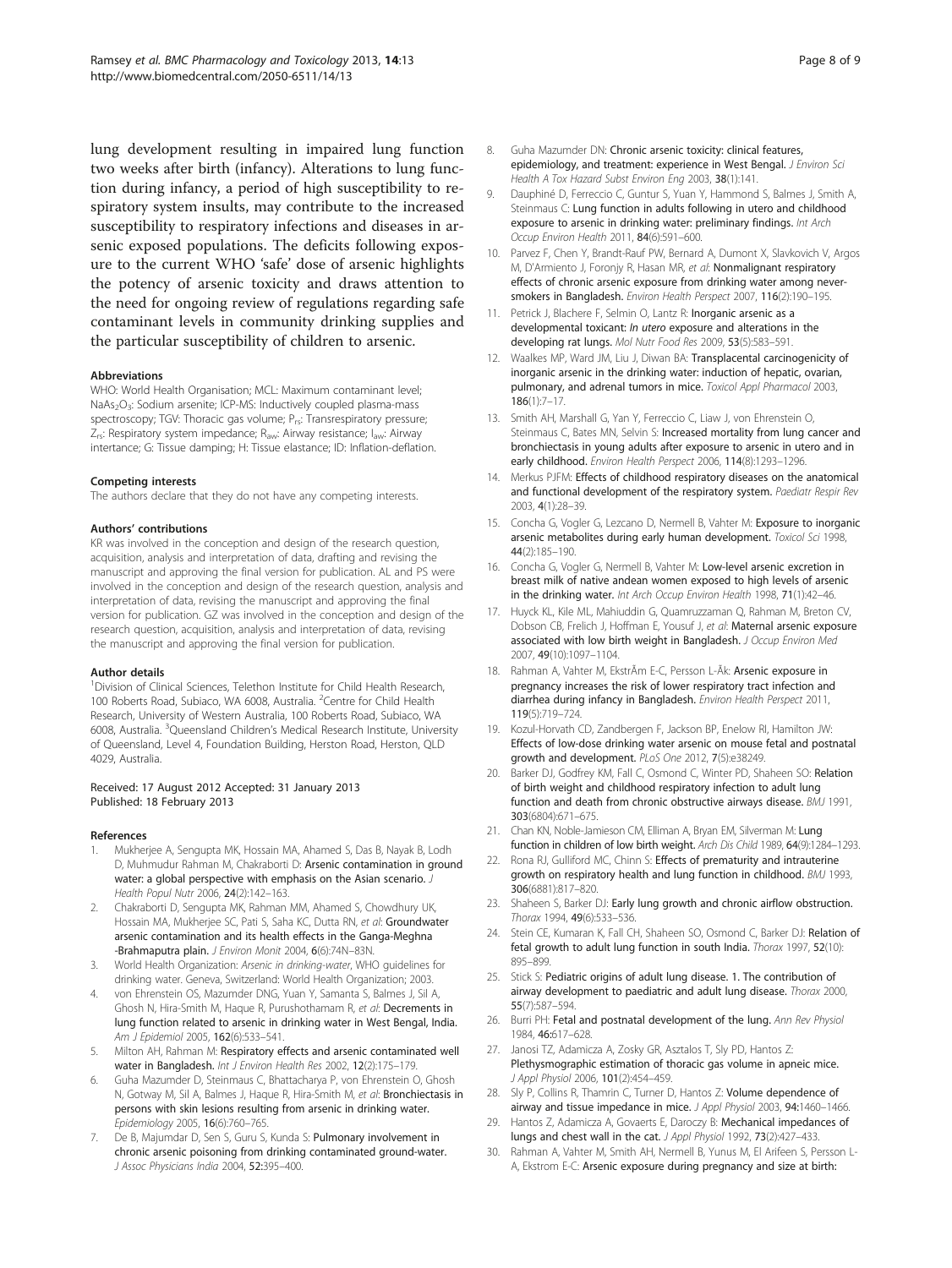<span id="page-7-0"></span>lung development resulting in impaired lung function two weeks after birth (infancy). Alterations to lung function during infancy, a period of high susceptibility to respiratory system insults, may contribute to the increased susceptibility to respiratory infections and diseases in arsenic exposed populations. The deficits following exposure to the current WHO 'safe' dose of arsenic highlights the potency of arsenic toxicity and draws attention to the need for ongoing review of regulations regarding safe contaminant levels in community drinking supplies and the particular susceptibility of children to arsenic.

#### Abbreviations

WHO: World Health Organisation: MCL: Maximum contaminant level: NaAs<sub>2</sub>O<sub>3</sub>: Sodium arsenite; ICP-MS: Inductively coupled plasma-mass spectroscopy; TGV: Thoracic gas volume; P<sub>rs</sub>: Transrespiratory pressure; Z<sub>rs</sub>: Respiratory system impedance; R<sub>aw</sub>: Airway resistance; I<sub>aw</sub>: Airway intertance; G: Tissue damping; H: Tissue elastance; ID: Inflation-deflation.

#### Competing interests

The authors declare that they do not have any competing interests.

#### Authors' contributions

KR was involved in the conception and design of the research question, acquisition, analysis and interpretation of data, drafting and revising the manuscript and approving the final version for publication. AL and PS were involved in the conception and design of the research question, analysis and interpretation of data, revising the manuscript and approving the final version for publication. GZ was involved in the conception and design of the research question, acquisition, analysis and interpretation of data, revising the manuscript and approving the final version for publication.

#### Author details

<sup>1</sup> Division of Clinical Sciences, Telethon Institute for Child Health Research, 100 Roberts Road, Subiaco, WA 6008, Australia. <sup>2</sup>Centre for Child Health Research, University of Western Australia, 100 Roberts Road, Subiaco, WA 6008, Australia. <sup>3</sup>Queensland Children's Medical Research Institute, University of Queensland, Level 4, Foundation Building, Herston Road, Herston, QLD 4029, Australia.

#### Received: 17 August 2012 Accepted: 31 January 2013 Published: 18 February 2013

#### References

- 1. Mukherjee A, Sengupta MK, Hossain MA, Ahamed S, Das B, Nayak B, Lodh D, Muhmudur Rahman M, Chakraborti D: Arsenic contamination in ground water: a global perspective with emphasis on the Asian scenario. J Health Popul Nutr 2006, 24(2):142–163.
- 2. Chakraborti D, Sengupta MK, Rahman MM, Ahamed S, Chowdhury UK, Hossain MA, Mukherjee SC, Pati S, Saha KC, Dutta RN, et al: Groundwater arsenic contamination and its health effects in the Ganga-Meghna -Brahmaputra plain. J Environ Monit 2004, 6(6):74N–83N.
- 3. World Health Organization: Arsenic in drinking-water, WHO guidelines for drinking water. Geneva, Switzerland: World Health Organization; 2003.
- 4. von Ehrenstein OS, Mazumder DNG, Yuan Y, Samanta S, Balmes J, Sil A, Ghosh N, Hira-Smith M, Haque R, Purushothamam R, et al: Decrements in lung function related to arsenic in drinking water in West Bengal, India. Am J Epidemiol 2005, 162(6):533–541.
- 5. Milton AH, Rahman M: Respiratory effects and arsenic contaminated well water in Bangladesh. Int J Environ Health Res 2002, 12(2):175–179.
- 6. Guha Mazumder D, Steinmaus C, Bhattacharya P, von Ehrenstein O, Ghosh N, Gotway M, Sil A, Balmes J, Haque R, Hira-Smith M, et al: Bronchiectasis in persons with skin lesions resulting from arsenic in drinking water. Epidemiology 2005, 16(6):760–765.
- 7. De B, Majumdar D, Sen S, Guru S, Kunda S: Pulmonary involvement in chronic arsenic poisoning from drinking contaminated ground-water. J Assoc Physicians India 2004, 52:395–400.
- 8. Guha Mazumder DN: Chronic arsenic toxicity: clinical features, epidemiology, and treatment: experience in West Bengal. J Environ Sci Health A Tox Hazard Subst Environ Eng 2003, 38(1):141.
- Dauphiné D, Ferreccio C, Guntur S, Yuan Y, Hammond S, Balmes J, Smith A, Steinmaus C: Lung function in adults following in utero and childhood exposure to arsenic in drinking water: preliminary findings. Int Arch Occup Environ Health 2011, 84(6):591–600.
- 10. Parvez F, Chen Y, Brandt-Rauf PW, Bernard A, Dumont X, Slavkovich V, Argos M, D'Armiento J, Foronjy R, Hasan MR, et al: Nonmalignant respiratory effects of chronic arsenic exposure from drinking water among neversmokers in Bangladesh. Environ Health Perspect 2007, 116(2):190-195.
- 11. Petrick J, Blachere F, Selmin O, Lantz R: Inorganic arsenic as a developmental toxicant: In utero exposure and alterations in the developing rat lungs. Mol Nutr Food Res 2009, 53(5):583–591.
- 12. Waalkes MP, Ward JM, Liu J, Diwan BA: Transplacental carcinogenicity of inorganic arsenic in the drinking water: induction of hepatic, ovarian, pulmonary, and adrenal tumors in mice. Toxicol Appl Pharmacol 2003, 186(1):7–17.
- 13. Smith AH, Marshall G, Yan Y, Ferreccio C, Liaw J, von Ehrenstein O, Steinmaus C, Bates MN, Selvin S: Increased mortality from lung cancer and bronchiectasis in young adults after exposure to arsenic in utero and in early childhood. Environ Health Perspect 2006, 114(8):1293–1296.
- 14. Merkus PJFM: Effects of childhood respiratory diseases on the anatomical and functional development of the respiratory system. Paediatr Respir Rev 2003, 4(1):28–39.
- 15. Concha G, Vogler G, Lezcano D, Nermell B, Vahter M: Exposure to inorganic arsenic metabolites during early human development. Toxicol Sci 1998, 44(2):185–190.
- 16. Concha G, Vogler G, Nermell B, Vahter M: Low-level arsenic excretion in breast milk of native andean women exposed to high levels of arsenic in the drinking water. Int Arch Occup Environ Health 1998, 71(1):42–46.
- 17. Huyck KL, Kile ML, Mahiuddin G, Quamruzzaman Q, Rahman M, Breton CV, Dobson CB, Frelich J, Hoffman E, Yousuf J, et al: Maternal arsenic exposure associated with low birth weight in Bangladesh. J Occup Environ Med 2007, 49(10):1097–1104.
- 18. Rahman A, Vahter M, EkstrÂm E-C, Persson L-Ãk: Arsenic exposure in pregnancy increases the risk of lower respiratory tract infection and diarrhea during infancy in Bangladesh. Environ Health Perspect 2011, 119(5):719–724.
- 19. Kozul-Horvath CD, Zandbergen F, Jackson BP, Enelow RI, Hamilton JW: Effects of low-dose drinking water arsenic on mouse fetal and postnatal growth and development. PLoS One 2012, 7(5):e38249.
- 20. Barker DJ, Godfrey KM, Fall C, Osmond C, Winter PD, Shaheen SO: Relation of birth weight and childhood respiratory infection to adult lung function and death from chronic obstructive airways disease. BMJ 1991, 303(6804):671–675.
- 21. Chan KN, Noble-Jamieson CM, Elliman A, Bryan EM, Silverman M: Lung function in children of low birth weight. Arch Dis Child 1989, 64(9):1284–1293.
- 22. Rona RJ, Gulliford MC, Chinn S: Effects of prematurity and intrauterine growth on respiratory health and lung function in childhood. BMJ 1993, 306(6881):817–820.
- 23. Shaheen S, Barker DJ: Early lung growth and chronic airflow obstruction. Thorax 1994, 49(6):533–536.
- 24. Stein CE, Kumaran K, Fall CH, Shaheen SO, Osmond C, Barker DJ: Relation of fetal growth to adult lung function in south India. Thorax 1997, 52(10): 895–899.
- 25. Stick S: Pediatric origins of adult lung disease. 1. The contribution of airway development to paediatric and adult lung disease. Thorax 2000, 55(7):587–594.
- 26. Burri PH: Fetal and postnatal development of the lung. Ann Rev Physiol 1984, 46:617–628.
- 27. Janosi TZ, Adamicza A, Zosky GR, Asztalos T, Sly PD, Hantos Z: Plethysmographic estimation of thoracic gas volume in apneic mice. J Appl Physiol 2006, 101(2):454–459.
- 28. Sly P, Collins R, Thamrin C, Turner D, Hantos Z: Volume dependence of airway and tissue impedance in mice. J Appl Physiol 2003, 94:1460-1466.
- 29. Hantos Z, Adamicza A, Govaerts E, Daroczy B: Mechanical impedances of lungs and chest wall in the cat. J Appl Physiol 1992, 73(2):427–433.
- 30. Rahman A, Vahter M, Smith AH, Nermell B, Yunus M, El Arifeen S, Persson L-A, Ekstrom E-C: Arsenic exposure during pregnancy and size at birth: